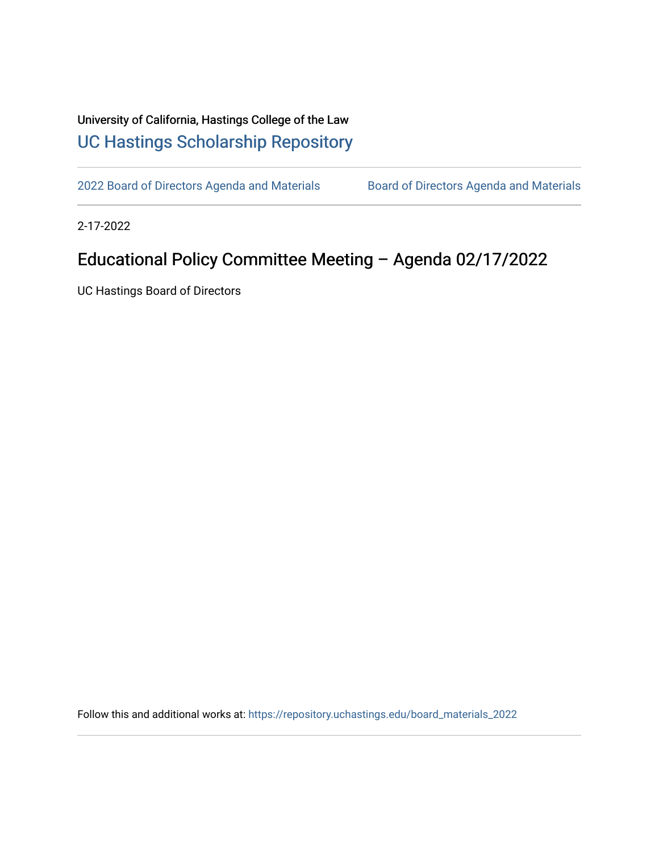## University of California, Hastings College of the Law [UC Hastings Scholarship Repository](https://repository.uchastings.edu/)

[2022 Board of Directors Agenda and Materials](https://repository.uchastings.edu/board_materials_2022) Board of Directors Agenda and Materials

2-17-2022

## Educational Policy Committee Meeting – Agenda 02/17/2022

UC Hastings Board of Directors

Follow this and additional works at: [https://repository.uchastings.edu/board\\_materials\\_2022](https://repository.uchastings.edu/board_materials_2022?utm_source=repository.uchastings.edu%2Fboard_materials_2022%2F7&utm_medium=PDF&utm_campaign=PDFCoverPages)